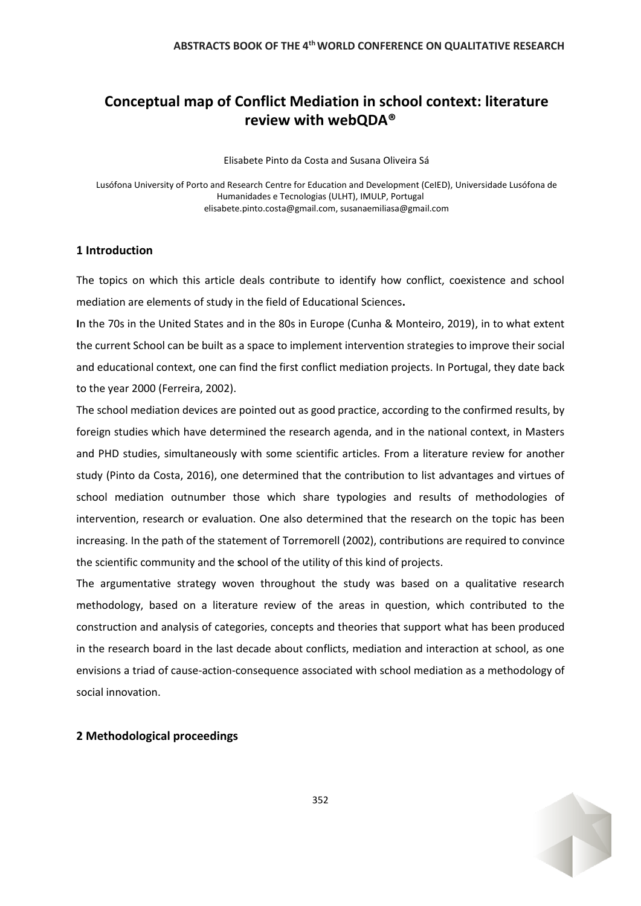# **Conceptual map of Conflict Mediation in school context: literature review with webQDA®**

Elisabete Pinto da Costa and Susana Oliveira Sá

Lusófona University of Porto and Research Centre for Education and Development (CeIED), Universidade Lusófona de Humanidades e Tecnologias (ULHT), IMULP, Portugal elisabete.pinto.costa@gmail.com, susanaemiliasa@gmail.com

#### **1 Introduction**

The topics on which this article deals contribute to identify how conflict, coexistence and school mediation are elements of study in the field of Educational Sciences**.**

**I**n the 70s in the United States and in the 80s in Europe (Cunha & Monteiro, 2019), in to what extent the current School can be built as a space to implement intervention strategies to improve their social and educational context, one can find the first conflict mediation projects. In Portugal, they date back to the year 2000 (Ferreira, 2002).

The school mediation devices are pointed out as good practice, according to the confirmed results, by foreign studies which have determined the research agenda, and in the national context, in Masters and PHD studies, simultaneously with some scientific articles. From a literature review for another study (Pinto da Costa, 2016), one determined that the contribution to list advantages and virtues of school mediation outnumber those which share typologies and results of methodologies of intervention, research or evaluation. One also determined that the research on the topic has been increasing. In the path of the statement of Torremorell (2002), contributions are required to convince the scientific community and the **s**chool of the utility of this kind of projects.

The argumentative strategy woven throughout the study was based on a qualitative research methodology, based on a literature review of the areas in question, which contributed to the construction and analysis of categories, concepts and theories that support what has been produced in the research board in the last decade about conflicts, mediation and interaction at school, as one envisions a triad of cause-action-consequence associated with school mediation as a methodology of social innovation.

## **2 Methodological proceedings**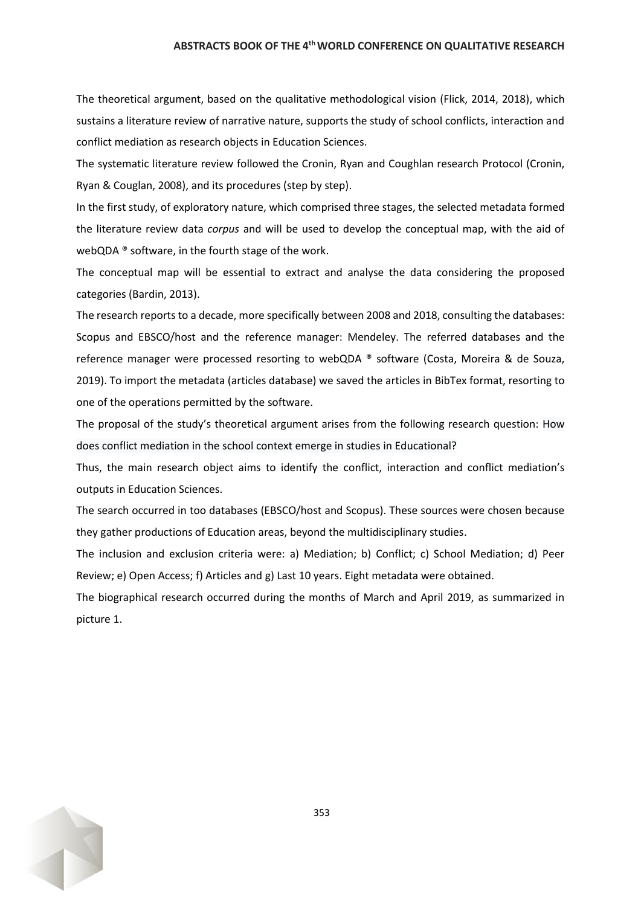#### **ABSTRACTS BOOK OF THE 4thWORLD CONFERENCE ON QUALITATIVE RESEARCH**

The theoretical argument, based on the qualitative methodological vision (Flick, 2014, 2018), which sustains a literature review of narrative nature, supports the study of school conflicts, interaction and conflict mediation as research objects in Education Sciences.

The systematic literature review followed the Cronin, Ryan and Coughlan research Protocol (Cronin, Ryan & Couglan, 2008), and its procedures (step by step).

In the first study, of exploratory nature, which comprised three stages, the selected metadata formed the literature review data *corpus* and will be used to develop the conceptual map, with the aid of webQDA ® software, in the fourth stage of the work.

The conceptual map will be essential to extract and analyse the data considering the proposed categories (Bardin, 2013).

The research reports to a decade, more specifically between 2008 and 2018, consulting the databases: Scopus and EBSCO/host and the reference manager: Mendeley. The referred databases and the reference manager were processed resorting to webQDA ® software (Costa, Moreira & de Souza, 2019). To import the metadata (articles database) we saved the articles in BibTex format, resorting to one of the operations permitted by the software.

The proposal of the study's theoretical argument arises from the following research question: How does conflict mediation in the school context emerge in studies in Educational?

Thus, the main research object aims to identify the conflict, interaction and conflict mediation's outputs in Education Sciences.

The search occurred in too databases (EBSCO/host and Scopus). These sources were chosen because they gather productions of Education areas, beyond the multidisciplinary studies.

The inclusion and exclusion criteria were: a) Mediation; b) Conflict; c) School Mediation; d) Peer Review; e) Open Access; f) Articles and g) Last 10 years. Eight metadata were obtained.

The biographical research occurred during the months of March and April 2019, as summarized in picture 1.

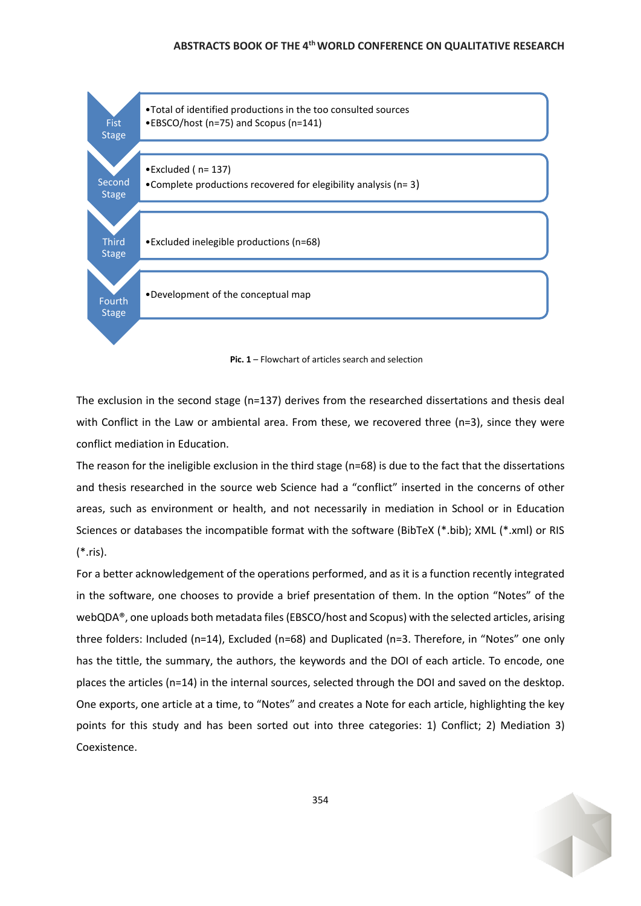



The exclusion in the second stage (n=137) derives from the researched dissertations and thesis deal with Conflict in the Law or ambiental area. From these, we recovered three (n=3), since they were conflict mediation in Education.

The reason for the ineligible exclusion in the third stage (n=68) is due to the fact that the dissertations and thesis researched in the source web Science had a "conflict" inserted in the concerns of other areas, such as environment or health, and not necessarily in mediation in School or in Education Sciences or databases the incompatible format with the software (BibTeX (\*.bib); XML (\*.xml) or RIS (\*.ris).

For a better acknowledgement of the operations performed, and as it is a function recently integrated in the software, one chooses to provide a brief presentation of them. In the option "Notes" of the webQDA®, one uploads both metadata files (EBSCO/host and Scopus) with the selected articles, arising three folders: Included (n=14), Excluded (n=68) and Duplicated (n=3. Therefore, in "Notes" one only has the tittle, the summary, the authors, the keywords and the DOI of each article. To encode, one places the articles (n=14) in the internal sources, selected through the DOI and saved on the desktop. One exports, one article at a time, to "Notes" and creates a Note for each article, highlighting the key points for this study and has been sorted out into three categories: 1) Conflict; 2) Mediation 3) Coexistence.